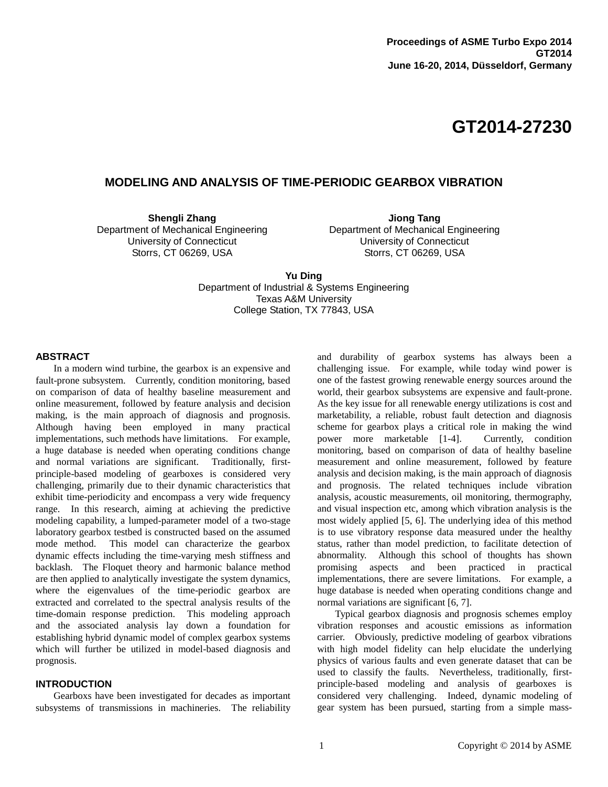# **MODELING AND ANALYSIS OF TIME-PERIODIC GEARBOX VIBRATION**

**Shengli Zhang** Department of Mechanical Engineering University of Connecticut Storrs, CT 06269, USA

**Jiong Tang** Department of Mechanical Engineering University of Connecticut Storrs, CT 06269, USA

**Yu Ding** Department of Industrial & Systems Engineering Texas A&M University College Station, TX 77843, USA

#### **ABSTRACT**

In a modern wind turbine, the gearbox is an expensive and fault-prone subsystem. Currently, condition monitoring, based on comparison of data of healthy baseline measurement and online measurement, followed by feature analysis and decision making, is the main approach of diagnosis and prognosis. Although having been employed in many practical implementations, such methods have limitations. For example, a huge database is needed when operating conditions change and normal variations are significant. Traditionally, firstprinciple-based modeling of gearboxes is considered very challenging, primarily due to their dynamic characteristics that exhibit time-periodicity and encompass a very wide frequency range. In this research, aiming at achieving the predictive modeling capability, a lumped-parameter model of a two-stage laboratory gearbox testbed is constructed based on the assumed mode method. This model can characterize the gearbox dynamic effects including the time-varying mesh stiffness and backlash. The Floquet theory and harmonic balance method are then applied to analytically investigate the system dynamics, where the eigenvalues of the time-periodic gearbox are extracted and correlated to the spectral analysis results of the time-domain response prediction. This modeling approach and the associated analysis lay down a foundation for establishing hybrid dynamic model of complex gearbox systems which will further be utilized in model-based diagnosis and prognosis.

#### **INTRODUCTION**

Gearboxs have been investigated for decades as important subsystems of transmissions in machineries. The reliability and durability of gearbox systems has always been a challenging issue. For example, while today wind power is one of the fastest growing renewable energy sources around the world, their gearbox subsystems are expensive and fault-prone. As the key issue for all renewable energy utilizations is cost and marketability, a reliable, robust fault detection and diagnosis scheme for gearbox plays a critical role in making the wind power more marketable [\[1-4\]](#page-6-0). Currently, condition monitoring, based on comparison of data of healthy baseline measurement and online measurement, followed by feature analysis and decision making, is the main approach of diagnosis and prognosis. The related techniques include vibration analysis, acoustic measurements, oil monitoring, thermography, and visual inspection etc, among which vibration analysis is the most widely applied [\[5,](#page-7-0) [6\]](#page-7-1). The underlying idea of this method is to use vibratory response data measured under the healthy status, rather than model prediction, to facilitate detection of abnormality. Although this school of thoughts has shown promising aspects and been practiced in practical implementations, there are severe limitations. For example, a huge database is needed when operating conditions change and normal variations are significant [\[6,](#page-7-1) [7\]](#page-7-2).

Typical gearbox diagnosis and prognosis schemes employ vibration responses and acoustic emissions as information carrier. Obviously, predictive modeling of gearbox vibrations with high model fidelity can help elucidate the underlying physics of various faults and even generate dataset that can be used to classify the faults. Nevertheless, traditionally, firstprinciple-based modeling and analysis of gearboxes is considered very challenging. Indeed, dynamic modeling of gear system has been pursued, starting from a simple mass-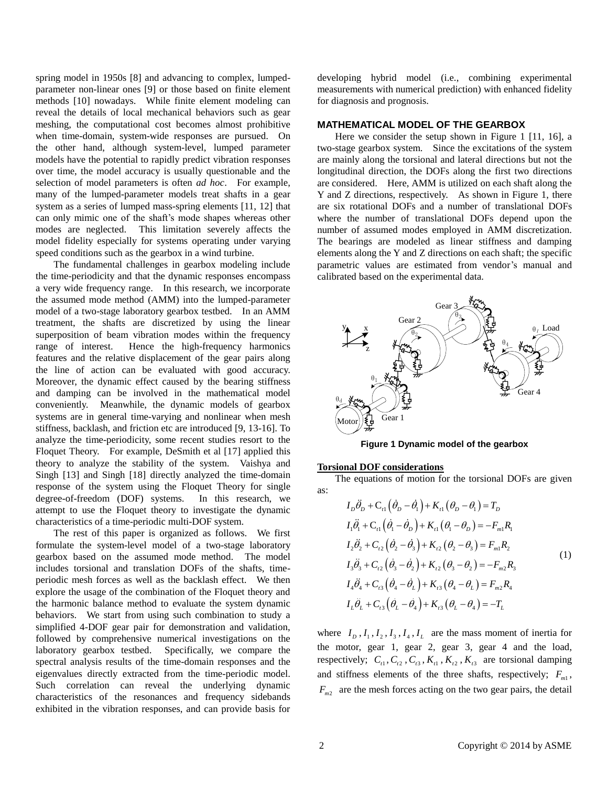spring model in 1950s [\[8\]](#page-7-3) and advancing to complex, lumpedparameter non-linear ones [\[9\]](#page-7-4) or those based on finite element methods [\[10\]](#page-7-5) nowadays. While finite element modeling can reveal the details of local mechanical behaviors such as gear meshing, the computational cost becomes almost prohibitive when time-domain, system-wide responses are pursued. On the other hand, although system-level, lumped parameter models have the potential to rapidly predict vibration responses over time, the model accuracy is usually questionable and the selection of model parameters is often *ad hoc*. For example, many of the lumped-parameter models treat shafts in a gear system as a series of lumped mass-spring elements [\[11,](#page-7-6) [12\]](#page-7-7) that can only mimic one of the shaft's mode shapes whereas other modes are neglected. This limitation severely affects the model fidelity especially for systems operating under varying speed conditions such as the gearbox in a wind turbine.

The fundamental challenges in gearbox modeling include the time-periodicity and that the dynamic responses encompass a very wide frequency range. In this research, we incorporate the assumed mode method (AMM) into the lumped-parameter model of a two-stage laboratory gearbox testbed. In an AMM treatment, the shafts are discretized by using the linear superposition of beam vibration modes within the frequency range of interest. Hence the high-frequency harmonics features and the relative displacement of the gear pairs along the line of action can be evaluated with good accuracy. Moreover, the dynamic effect caused by the bearing stiffness and damping can be involved in the mathematical model conveniently. Meanwhile, the dynamic models of gearbox systems are in general time-varying and nonlinear when mesh stiffness, backlash, and friction etc are introduced [\[9,](#page-7-4) [13-16\]](#page-7-8). To analyze the time-periodicity, some recent studies resort to the Floquet Theory. For example, DeSmith et al [\[17\]](#page-7-9) applied this theory to analyze the stability of the system. Vaishya and Singh [\[13\]](#page-7-8) and Singh [\[18\]](#page-7-10) directly analyzed the time-domain response of the system using the Floquet Theory for single degree-of-freedom (DOF) systems. In this research, we attempt to use the Floquet theory to investigate the dynamic characteristics of a time-periodic multi-DOF system.

The rest of this paper is organized as follows. We first formulate the system-level model of a two-stage laboratory gearbox based on the assumed mode method. The model includes torsional and translation DOFs of the shafts, timeperiodic mesh forces as well as the backlash effect. We then explore the usage of the combination of the Floquet theory and the harmonic balance method to evaluate the system dynamic behaviors. We start from using such combination to study a simplified 4-DOF gear pair for demonstration and validation, followed by comprehensive numerical investigations on the laboratory gearbox testbed. Specifically, we compare the spectral analysis results of the time-domain responses and the eigenvalues directly extracted from the time-periodic model. Such correlation can reveal the underlying dynamic characteristics of the resonances and frequency sidebands exhibited in the vibration responses, and can provide basis for

developing hybrid model (i.e., combining experimental measurements with numerical prediction) with enhanced fidelity for diagnosis and prognosis.

# **MATHEMATICAL MODEL OF THE GEARBOX**

Here we consider the setup shown in [Figure 1](#page-1-0) [\[11,](#page-7-6) [16\]](#page-7-11), a two-stage gearbox system. Since the excitations of the system are mainly along the torsional and lateral directions but not the longitudinal direction, the DOFs along the first two directions are considered. Here, AMM is utilized on each shaft along the Y and Z directions, respectively. As shown in [Figure 1,](#page-1-0) there are six rotational DOFs and a number of translational DOFs where the number of translational DOFs depend upon the number of assumed modes employed in AMM discretization. The bearings are modeled as linear stiffness and damping elements along the Y and Z directions on each shaft; the specific parametric values are estimated from vendor's manual and calibrated based on the experimental data.



**Figure 1 Dynamic model of the gearbox**

## <span id="page-1-0"></span>**Torsional DOF considerations**

The equations of motion for the torsional DOFs are given as:

$$
I_{D}\ddot{\theta}_{D} + C_{r1} (\dot{\theta}_{D} - \dot{\theta}_{1}) + K_{r1} (\theta_{D} - \theta_{1}) = T_{D}
$$
  
\n
$$
I_{1}\ddot{\theta}_{1} + C_{r1} (\dot{\theta}_{1} - \dot{\theta}_{D}) + K_{r1} (\theta_{1} - \theta_{D}) = -F_{m1}R_{1}
$$
  
\n
$$
I_{2}\ddot{\theta}_{2} + C_{r2} (\dot{\theta}_{2} - \dot{\theta}_{3}) + K_{r2} (\theta_{2} - \theta_{3}) = F_{m1}R_{2}
$$
  
\n
$$
I_{3}\ddot{\theta}_{3} + C_{r2} (\dot{\theta}_{3} - \dot{\theta}_{2}) + K_{r2} (\theta_{3} - \theta_{2}) = -F_{m2}R_{3}
$$
  
\n
$$
I_{4}\ddot{\theta}_{4} + C_{r3} (\dot{\theta}_{4} - \dot{\theta}_{L}) + K_{r3} (\theta_{4} - \theta_{L}) = F_{m2}R_{4}
$$
  
\n
$$
I_{L}\ddot{\theta}_{L} + C_{r3} (\dot{\theta}_{L} - \dot{\theta}_{4}) + K_{r3} (\theta_{L} - \theta_{4}) = -T_{L}
$$
  
\n(1)

where  $I_D$ ,  $I_1$ ,  $I_2$ ,  $I_3$ ,  $I_4$ ,  $I_L$  are the mass moment of inertia for the motor, gear 1, gear 2, gear 3, gear 4 and the load, respectively;  $C_{t_1}$ ,  $C_{t_2}$ ,  $C_{t_3}$ ,  $K_{t_1}$ ,  $K_{t_2}$ ,  $K_{t_3}$  are torsional damping and stiffness elements of the three shafts, respectively;  $F_{m}$ ,  $F_{m2}$  are the mesh forces acting on the two gear pairs, the detail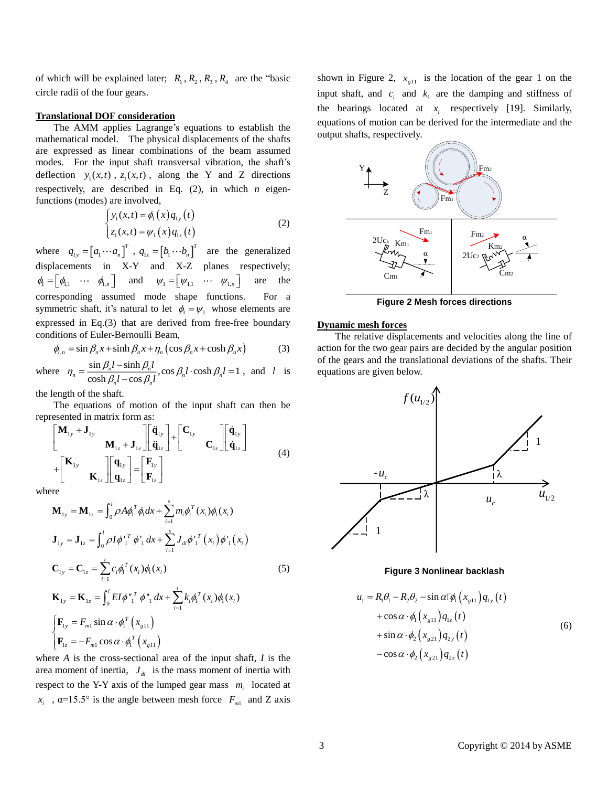of which will be explained later;  $R_1, R_2, R_3, R_4$  are the "basic" circle radii of the four gears.

# **Translational DOF consideration**

The AMM applies Lagrange's equations to establish the mathematical model. The physical displacements of the shafts are expressed as linear combinations of the beam assumed modes. For the input shaft transversal vibration, the shaft's deflection  $y_1(x,t)$ ,  $z_1(x,t)$ , along the Y and Z directions respectively, are described in Eq. (2), in which *n* eigenfunctions (modes) are involved,

$$
\begin{cases}\n y_1(x,t) = \phi_1(x) q_{1y}(t) \\
 z_1(x,t) = \psi_1(x) q_{1z}(t)\n\end{cases}
$$
\n(2)

where  $q_{1y} = [a_1 \cdots a_n]^T$  $q_{1y} = [a_1 \cdots a_n]^T$ ,  $q_{1z} = [b_1 \cdots b_n]^T$  $q_{1z} = [b_1 \cdots b_n]^T$  are the generalized displacements in X-Y and X-Z planes respectively;  $\phi_1 = \begin{bmatrix} \phi_{1,1} & \cdots & \phi_{1,n} \end{bmatrix}$  and  $\psi_1 = \begin{bmatrix} \psi_{1,1} & \cdots & \psi_{1,n} \end{bmatrix}$ are the corresponding assumed mode shape functions. For a symmetric shaft, it's natural to let  $\phi_1 = \psi_1$  whose elements are expressed in Eq.(3) that are derived from free-free boundary conditions of Euler-Bernoulli Beam,

$$
\phi_{i,n} = \sin \beta_n x + \sinh \beta_n x + \eta_n (\cos \beta_n x + \cosh \beta_n x) \tag{3}
$$

where 
$$
\eta_n = \frac{\sin \beta_n l - \sinh \beta_n l}{\cosh \beta_n l - \cos \beta_n l}
$$
,  $\cos \beta_n l \cdot \cosh \beta_n l = 1$ , and l is

the length of the shaft.

The equations of motion of the input shaft can then be represented in matrix form as:

$$
\begin{bmatrix}\n\mathbf{M}_{1y} + \mathbf{J}_{1y} & \mathbf{M}_{1z} + \mathbf{J}_{1z}\n\end{bmatrix}\n\begin{bmatrix}\n\ddot{\mathbf{q}}_{1y} \\
\ddot{\mathbf{q}}_{1z}\n\end{bmatrix} +\n\begin{bmatrix}\n\mathbf{C}_{1y} & \mathbf{C}_{1z}\n\end{bmatrix}\n\begin{bmatrix}\n\dot{\mathbf{q}}_{1y} \\
\dot{\mathbf{q}}_{1z}\n\end{bmatrix} +\n\begin{bmatrix}\n\mathbf{K}_{1y} & \mathbf{K}_{1z}\n\end{bmatrix}\n\begin{bmatrix}\n\mathbf{q}_{1y} \\
\mathbf{q}_{1z}\n\end{bmatrix} =\n\begin{bmatrix}\n\mathbf{F}_{1y} \\
\mathbf{F}_{1z}\n\end{bmatrix}
$$
\n(4)

where

$$
\mathbf{M}_{1y} = \mathbf{M}_{1z} = \int_{0}^{l} \rho A \phi_{1}^{T} \phi_{1} dx + \sum_{i=1}^{s} m_{i} \phi_{1}^{T} (x_{i}) \phi_{1} (x_{i})
$$
\n
$$
\mathbf{J}_{1y} = \mathbf{J}_{1z} = \int_{0}^{l} \rho I \phi_{1}^{T} \phi_{1}^{T} dx + \sum_{i=1}^{s} J_{di} \phi_{1}^{T} (x_{i}) \phi_{1}^{T} (x_{i})
$$
\n
$$
\mathbf{C}_{1y} = \mathbf{C}_{1z} = \sum_{i=1}^{t} c_{i} \phi_{1}^{T} (x_{i}) \phi_{1} (x_{i})
$$
\n
$$
\mathbf{K}_{1y} = \mathbf{K}_{1z} = \int_{0}^{l} EI \phi_{1}^{T} \phi_{1}^{T} dx + \sum_{i=1}^{t} k_{i} \phi_{1}^{T} (x_{i}) \phi_{1} (x_{i})
$$
\n
$$
\begin{cases}\n\mathbf{F}_{1y} = F_{m1} \sin \alpha \cdot \phi_{1}^{T} (x_{s11}) \\
\mathbf{F}_{1z} = -F_{m1} \cos \alpha \cdot \phi_{1}^{T} (x_{s11})\n\end{cases}
$$
\n(5)

where *A* is the cross-sectional area of the input shaft, *I* is the area moment of inertia,  $J_{di}$  is the mass moment of inertia with respect to the Y-Y axis of the lumped gear mass  $m_i$  located at  $x_i$ ,  $\alpha$ =15.5° is the angle between mesh force  $F_{m1}$  and Z axis

shown in [Figure 2,](#page-2-0)  $x_{g11}$  is the location of the gear 1 on the input shaft, and  $c_i$  and  $k_i$  are the damping and stiffness of the bearings located at  $x_i$  respectively [\[19\]](#page-7-12). Similarly, equations of motion can be derived for the intermediate and the output shafts, respectively.



**Figure 2 Mesh forces directions**

#### <span id="page-2-0"></span>**Dynamic mesh forces**

The relative displacements and velocities along the line of action for the two gear pairs are decided by the angular position of the gears and the translational deviations of the shafts. Their equations are given below.



**Figure 3 Nonlinear backlash**

<span id="page-2-1"></span>
$$
u_1 = R_1 \theta_1 - R_2 \theta_2 - \sin \alpha \phi_1(x_{g11}) q_{1y}(t)
$$
  
+  $\cos \alpha \cdot \phi_1(x_{g11}) q_{1z}(t)$   
+  $\sin \alpha \cdot \phi_2(x_{g21}) q_{2y}(t)$   
-  $\cos \alpha \cdot \phi_2(x_{g21}) q_{2z}(t)$  (6)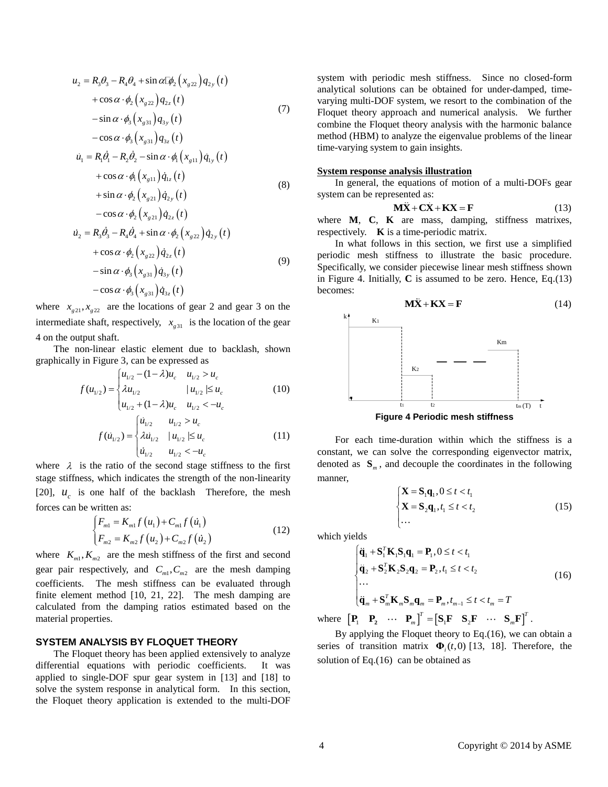$$
u_2 = R_3 \theta_3 - R_4 \theta_4 + \sin \alpha \phi_2 (x_{g22}) q_{2y}(t)
$$
  
+  $\cos \alpha \cdot \phi_2 (x_{g22}) q_{2z}(t)$   
-  $\sin \alpha \cdot \phi_3 (x_{g31}) q_{3y}(t)$   
-  $\cos \alpha \cdot \phi_3 (x_{g31}) q_{3z}(t)$   

$$
\dot{u}_1 = R_1 \dot{\theta}_1 - R_2 \dot{\theta}_2 - \sin \alpha \cdot \phi_1 (x_{g11}) \dot{q}_{1y}(t)
$$
  
+  $\cos \alpha \cdot \phi_1 (x_{g11}) \dot{q}_{1z}(t)$   
+  $\sin \alpha \cdot \phi_2 (x_{g21}) \dot{q}_{2y}(t)$   
-  $\cos \alpha \cdot \phi_2 (x_{g21}) \dot{q}_{2z}(t)$   

$$
\dot{u}_2 = R_3 \dot{\theta}_3 - R_4 \dot{\theta}_4 + \sin \alpha \cdot \phi_2 (x_{g22}) \dot{q}_{2y}(t)
$$
  
+  $\cos \alpha \cdot \phi_2 (x_{g22}) \dot{q}_{2z}(t)$   
-  $\sin \alpha \cdot \phi_3 (x_{g31}) \dot{q}_{3y}(t)$   
-  $\cos \alpha \cdot \phi_3 (x_{g31}) \dot{q}_{3z}(t)$   
-  $\cos \alpha \cdot \phi_3 (x_{g31}) \dot{q}_{3z}(t)$   
(9)

where  $x_{g21}, x_{g22}$  are the locations of gear 2 and gear 3 on the intermediate shaft, respectively,  $x_{g31}$  is the location of the gear 4 on the output shaft.

The non-linear elastic element due to backlash, shown graphically in [Figure 3,](#page-2-1) can be expressed as

$$
f(u_{1/2}) = \begin{cases} u_{1/2} - (1 - \lambda)u_c & u_{1/2} > u_c \\ \lambda u_{1/2} & |u_{1/2}| \le u_c \\ u_{1/2} + (1 - \lambda)u_c & u_{1/2} < -u_c \end{cases}
$$
(10)  

$$
f(\dot{u}_{1/2}) = \begin{cases} \dot{u}_{1/2} & u_{1/2} > u_c \\ \lambda \dot{u}_{1/2} & |u_{1/2}| \le u_c \end{cases}
$$
(11)

 $\begin{vmatrix} u_{1/2} & u_{1/2} & -u_c \end{vmatrix}$ where  $\lambda$  is the ratio of the second stage stiffness to the first stage stiffness, which indicates the strength of the non-linearity [\[20\]](#page-7-13),  $u_c$  is one half of the backlash Therefore, the mesh forces can be written as:

$$
\begin{cases}\nF_{m1} = K_{m1} f(u_1) + C_{m1} f(u_1) \\
F_{m2} = K_{m2} f(u_2) + C_{m2} f(u_2)\n\end{cases}
$$
\n(12)

where  $K_{m1}$ ,  $K_{m2}$  are the mesh stiffness of the first and second gear pair respectively, and  $C_{m1}$ ,  $C_{m2}$  are the mesh damping coefficients. The mesh stiffness can be evaluated through finite element method [\[10,](#page-7-5) [21,](#page-7-14) [22\]](#page-7-15). The mesh damping are calculated from the damping ratios estimated based on the material properties.

## **SYSTEM ANALYSIS BY FLOQUET THEORY**

The Floquet theory has been applied extensively to analyze differential equations with periodic coefficients. It was applied to single-DOF spur gear system in [\[13\]](#page-7-8) and [\[18\]](#page-7-10) to solve the system response in analytical form. In this section, the Floquet theory application is extended to the multi-DOF

system with periodic mesh stiffness. Since no closed-form analytical solutions can be obtained for under-damped, timevarying multi-DOF system, we resort to the combination of the Floquet theory approach and numerical analysis. We further combine the Floquet theory analysis with the harmonic balance method (HBM) to analyze the eigenvalue problems of the linear time-varying system to gain insights.

### **System response analysis illustration**

In general, the equations of motion of a multi-DOFs gear system can be represented as:

$$
\mathbf{M}\ddot{\mathbf{X}} + \mathbf{C}\dot{\mathbf{X}} + \mathbf{K}\mathbf{X} = \mathbf{F} \tag{13}
$$

where **M**, **C**, **K** are mass, damping, stiffness matrixes, respectively. **K** is a time-periodic matrix.

In what follows in this section, we first use a simplified periodic mesh stiffness to illustrate the basic procedure. Specifically, we consider piecewise linear mesh stiffness shown in [Figure 4.](#page-3-0) Initially, **C** is assumed to be zero. Hence, Eq.(13) becomes:



<span id="page-3-0"></span>For each time-duration within which the stiffness is a constant, we can solve the corresponding eigenvector matrix, denoted as  $S_m$ , and decouple the coordinates in the following manner,

$$
\begin{cases}\n\mathbf{X} = \mathbf{S}_1 \mathbf{q}_1, 0 \le t < t_1 \\
\mathbf{X} = \mathbf{S}_2 \mathbf{q}_1, t_1 \le t < t_2\n\end{cases} \tag{15}
$$

which yields

$$
\begin{cases}\n\ddot{\mathbf{q}}_1 + \mathbf{S}_1^T \mathbf{K}_1 \mathbf{S}_1 \mathbf{q}_1 = \mathbf{P}_1, 0 \le t < t_1 \\
\ddot{\mathbf{q}}_2 + \mathbf{S}_2^T \mathbf{K}_2 \mathbf{S}_2 \mathbf{q}_2 = \mathbf{P}_2, t_1 \le t < t_2\n\end{cases} \tag{16}
$$
\n
$$
\begin{cases}\n\ddots \\
\ddot{\mathbf{q}}_m + \mathbf{S}_m^T \mathbf{K}_m \mathbf{S}_m \mathbf{q}_m = \mathbf{P}_m, t_{m-1} \le t < t_m = T\n\end{cases}
$$

where  $\begin{bmatrix} \mathbf{P}_1 & \mathbf{P}_2 & \cdots & \mathbf{P}_m \end{bmatrix}^T = \begin{bmatrix} \mathbf{S}_1 \mathbf{F} & \mathbf{S}_2 \mathbf{F} & \cdots & \mathbf{S}_m \mathbf{F} \end{bmatrix}^T$ .

By applying the Floquet theory to Eq.(16), we can obtain a series of transition matrix  $\Phi_i(t,0)$  [\[13,](#page-7-8) [18\]](#page-7-10). Therefore, the solution of Eq.(16) can be obtained as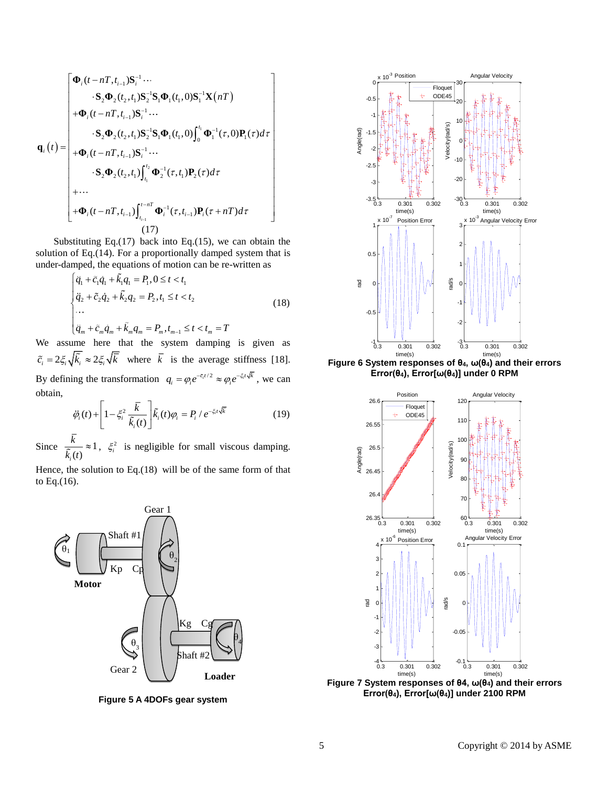$$
\mathbf{q}_{i}(t-nT, t_{i-1})\mathbf{S}_{i}^{-1} \cdots
$$
\n
$$
\mathbf{B}_{2}\mathbf{\Phi}_{2}(t_{2}, t_{1})\mathbf{S}_{2}^{-1}\mathbf{S}_{1}\mathbf{\Phi}_{1}(t_{1}, 0)\mathbf{S}_{1}^{-1}\mathbf{X}(nT)
$$
\n
$$
+\mathbf{\Phi}_{i}(t-nT, t_{i-1})\mathbf{S}_{i}^{-1} \cdots
$$
\n
$$
\mathbf{S}_{2}\mathbf{\Phi}_{2}(t_{2}, t_{1})\mathbf{S}_{2}^{-1}\mathbf{S}_{1}\mathbf{\Phi}_{1}(t_{1}, 0)\int_{0}^{t_{1}}\mathbf{\Phi}_{1}^{-1}(\tau, 0)\mathbf{P}_{1}(\tau)d\tau
$$
\n
$$
+\mathbf{\Phi}_{i}(t-nT, t_{i-1})\mathbf{S}_{i}^{-1} \cdots
$$
\n
$$
\cdot\mathbf{S}_{2}\mathbf{\Phi}_{2}(t_{2}, t_{1})\int_{t_{1}}^{t_{2}}\mathbf{\Phi}_{2}^{-1}(\tau, t_{1})\mathbf{P}_{2}(\tau)d\tau
$$
\n
$$
+\cdots
$$
\n
$$
+\mathbf{\Phi}_{i}(t-nT, t_{i-1})\int_{t_{i-1}}^{t-nT}\mathbf{\Phi}_{i}^{-1}(\tau, t_{i-1})\mathbf{P}_{i}(\tau+nT)d\tau
$$
\n(17)

Substituting Eq. $(17)$  back into Eq. $(15)$ , we can obtain the solution of Eq.(14). For a proportionally damped system that is under-damped, the equations of motion can be re-written as

$$
\begin{cases}\n\ddot{q}_1 + \tilde{c}_1 \dot{q}_1 + \tilde{k}_1 q_1 = P_1, 0 \le t < t_1 \\
\ddot{q}_2 + \tilde{c}_2 \dot{q}_2 + \tilde{k}_2 q_2 = P_2, t_1 \le t < t_2\n\end{cases} \tag{18}
$$
\n
$$
\begin{cases}\n\ddots \\
\ddot{q}_m + \tilde{c}_m \dot{q}_m + \tilde{k}_m q_m = P_m, t_{m-1} \le t < t_m = T\n\end{cases}
$$

We assume here that the system damping is given as  $\tilde{c}_i = 2\xi_i \sqrt{k_i} \approx 2\xi_i \sqrt{k}$  where k is the average stiffness [\[18\]](#page-7-10). By defining the transformation  $q_i = \varphi_i e^{-\tilde{c}_i t/2} \approx \varphi_i e^{-\tilde{c}_i t/2}$ , we can obtain,

$$
\ddot{\varphi}_i(t) + \left[1 - \xi_i^2 \frac{\bar{k}}{\tilde{k}_i(t)}\right] \tilde{k}_i(t)\varphi_i = P_i / e^{-\xi_i t \sqrt{\bar{k}}}
$$
(19)

Since  $\frac{\pi}{2} \approx 1$  $\boldsymbol{f}_i(t)$ *k*  $\frac{k}{k}(t) \approx 1$ ,  $\xi_i^2$  is negligible for small viscous damping.

Hence, the solution to Eq.(18) will be of the same form of that to Eq.(16).



<span id="page-4-0"></span>**Figure 5 A 4DOFs gear system**



<span id="page-4-1"></span>**Figure 6 System responses of θ4, ω(θ4) and their errors Error(θ4), Error[ω(θ4)] under 0 RPM**



<span id="page-4-2"></span>**Error(θ4), Error[ω(θ4)] under 2100 RPM**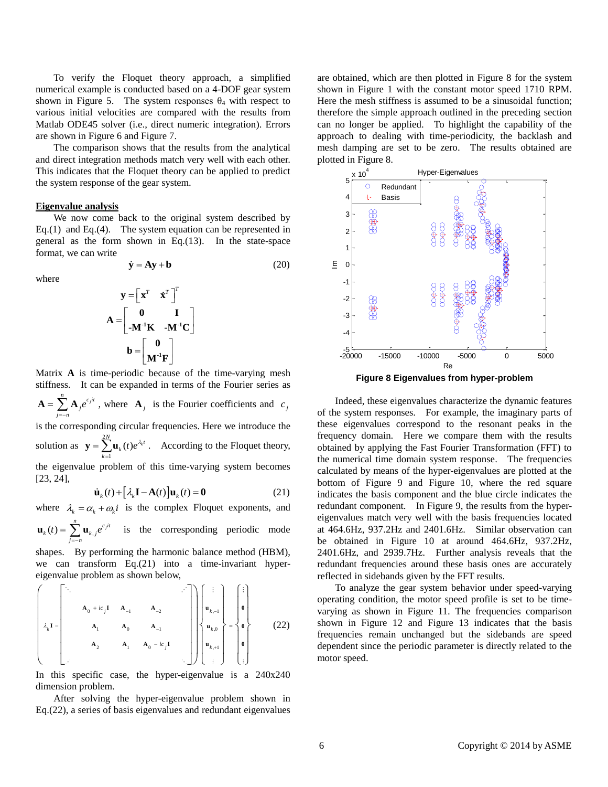To verify the Floquet theory approach, a simplified numerical example is conducted based on a 4-DOF gear system shown in [Figure 5.](#page-4-0) The system responses  $\theta_4$  with respect to various initial velocities are compared with the results from Matlab ODE45 solver (i.e., direct numeric integration). Errors are shown in [Figure 6](#page-4-1) and [Figure 7.](#page-4-2)

The comparison shows that the results from the analytical and direct integration methods match very well with each other. This indicates that the Floquet theory can be applied to predict the system response of the gear system.

### **Eigenvalue analysis**

We now come back to the original system described by Eq.(1) and Eq.(4). The system equation can be represented in general as the form shown in Eq.(13). In the state-space format, we can write

where

$$
\dot{\mathbf{y}} = \mathbf{A}\mathbf{y} + \mathbf{b} \tag{20}
$$

$$
\mathbf{y} = \begin{bmatrix} \mathbf{x}^T & \dot{\mathbf{x}}^T \end{bmatrix}^T
$$

$$
\mathbf{A} = \begin{bmatrix} \mathbf{0} & \mathbf{I} \\ -\mathbf{M}^T \mathbf{K} & -\mathbf{M}^T \mathbf{C} \end{bmatrix}
$$

$$
\mathbf{b} = \begin{bmatrix} \mathbf{0} \\ \mathbf{M}^T \mathbf{F} \end{bmatrix}
$$

Matrix **A** is time-periodic because of the time-varying mesh stiffness. It can be expanded in terms of the Fourier series as

 $\sum_{i=1}^{n}$  **A**  $c_{i}$ <sup>it</sup>  $\sum_{j=-n}^{1}$  n<sup>i</sup> *e*  $\mathbf{A} = \sum_{i=-n}^{\infty} \mathbf{A}_j e^{c_j it}$ , where  $\mathbf{A}_j$  is the Fourier coefficients and  $c_j$ 

is the corresponding circular frequencies. Here we introduce the solution as  $y = \sum^{2}$  $\sum_{k=1}^{2N}$ **u**<sub>k</sub> (t)e<sup> $\lambda_k t$ </sup>  $\mathbf{y} = \sum \mathbf{u}_{k}(t)e^{\lambda_{k}t}$ . According to the Floquet theory,

the eigenvalue problem of this time-varying system becomes [\[23,](#page-7-16) [24\]](#page-7-17),

$$
\dot{\mathbf{u}}_k(t) + [\lambda_k \mathbf{I} - \mathbf{A}(t)] \mathbf{u}_k(t) = \mathbf{0}
$$
 (21)

where  $\lambda_k = \alpha_k + \omega_k i$  is the complex Floquet exponents, and

 $_{k}(t) = \sum_{j=-n}^{n} \mathbf{u}_{k,j} e^{c_j t t}$  $t = \sum$ **u**, e  $\mathbf{u}_k(t) = \sum_{i=-n} \mathbf{u}_{k,j} e^{c_j t}$  is the corresponding periodic mode

shapes. By performing the harmonic balance method (HBM), we can transform Eq.(21) into a time-invariant hypereigenvalue problem as shown below,

$$
\begin{Bmatrix}\n\ddots & & & & & \\
a_{0} + ic_{j} & A_{-1} & A_{-2} & & \\
A_{1} & A_{0} & A_{-1} & & \\
A_{2} & A_{1} & A_{0} - ic_{j} & & \\
\vdots & & & & \\
\end{Bmatrix}\n\begin{Bmatrix}\n\vdots \\
u_{k-1} \\
u_{k-2} \\
u_{k+1} \\
\vdots\n\end{Bmatrix} = \n\begin{Bmatrix}\n\vdots \\
0 \\
0 \\
0 \\
\vdots\n\end{Bmatrix}
$$
\n(22)

In this specific case, the hyper-eigenvalue is a 240x240 dimension problem.

After solving the hyper-eigenvalue problem shown in Eq.(22), a series of basis eigenvalues and redundant eigenvalues

are obtained, which are then plotted in [Figure 8](#page-5-0) for the system shown in [Figure 1](#page-1-0) with the constant motor speed 1710 RPM. Here the mesh stiffness is assumed to be a sinusoidal function; therefore the simple approach outlined in the preceding section can no longer be applied. To highlight the capability of the approach to dealing with time-periodicity, the backlash and mesh damping are set to be zero. The results obtained are plotted in Figure 8.





<span id="page-5-0"></span>Indeed, these eigenvalues characterize the dynamic features of the system responses. For example, the imaginary parts of these eigenvalues correspond to the resonant peaks in the frequency domain. Here we compare them with the results obtained by applying the Fast Fourier Transformation (FFT) to the numerical time domain system response. The frequencies calculated by means of the hyper-eigenvalues are plotted at the bottom of [Figure 9](#page-6-1) and [Figure 10,](#page-6-2) where the red square indicates the basis component and the blue circle indicates the redundant component. In [Figure 9,](#page-6-1) the results from the hypereigenvalues match very well with the basis frequencies located at 464.6Hz, 937.2Hz and 2401.6Hz. Similar observation can be obtained in [Figure 10](#page-6-2) at around 464.6Hz, 937.2Hz, 2401.6Hz, and 2939.7Hz. Further analysis reveals that the redundant frequencies around these basis ones are accurately reflected in sidebands given by the FFT results.

To analyze the gear system behavior under speed-varying operating condition, the motor speed profile is set to be timevarying as shown in [Figure 11.](#page-6-3) The frequencies comparison shown in [Figure 12](#page-6-4) and [Figure 13](#page-6-5) indicates that the basis frequencies remain unchanged but the sidebands are speed dependent since the periodic parameter is directly related to the motor speed.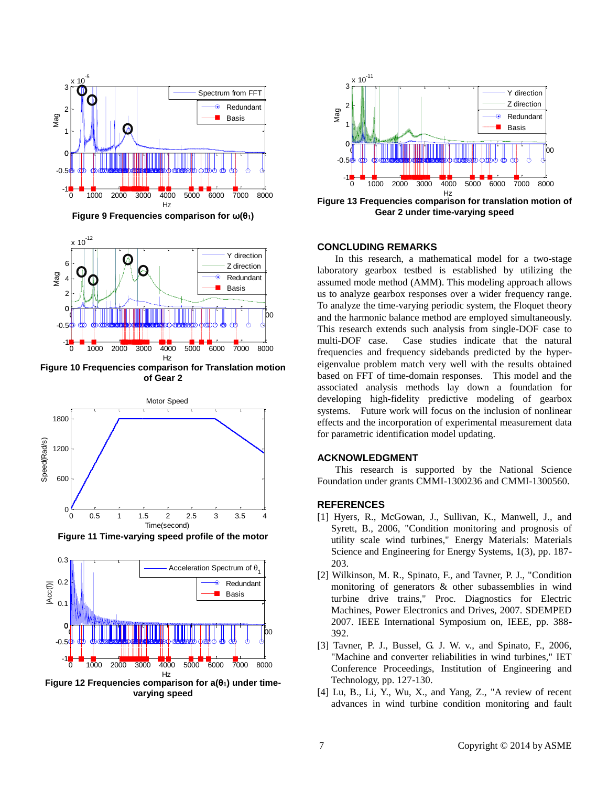

**Figure 9 Frequencies comparison for ω(θ1)**

<span id="page-6-1"></span>

<span id="page-6-2"></span>**Figure 10 Frequencies comparison for Translation motion of Gear 2**



<span id="page-6-3"></span>**Figure 11 Time-varying speed profile of the motor**



<span id="page-6-4"></span>**Figure 12 Frequencies comparison for a(θ1) under timevarying speed**



<span id="page-6-5"></span>**Figure 13 Frequencies comparison for translation motion of Gear 2 under time-varying speed**

# **CONCLUDING REMARKS**

In this research, a mathematical model for a two-stage laboratory gearbox testbed is established by utilizing the assumed mode method (AMM). This modeling approach allows us to analyze gearbox responses over a wider frequency range. To analyze the time-varying periodic system, the Floquet theory and the harmonic balance method are employed simultaneously. This research extends such analysis from single-DOF case to multi-DOF case. Case studies indicate that the natural frequencies and frequency sidebands predicted by the hypereigenvalue problem match very well with the results obtained based on FFT of time-domain responses. This model and the associated analysis methods lay down a foundation for developing high-fidelity predictive modeling of gearbox systems. Future work will focus on the inclusion of nonlinear effects and the incorporation of experimental measurement data for parametric identification model updating.

#### **ACKNOWLEDGMENT**

This research is supported by the National Science Foundation under grants CMMI-1300236 and CMMI-1300560.

# **REFERENCES**

- <span id="page-6-0"></span>[1] Hyers, R., McGowan, J., Sullivan, K., Manwell, J., and Syrett, B., 2006, "Condition monitoring and prognosis of utility scale wind turbines," Energy Materials: Materials Science and Engineering for Energy Systems, 1(3), pp. 187- 203.
- [2] Wilkinson, M. R., Spinato, F., and Tavner, P. J., "Condition monitoring of generators & other subassemblies in wind turbine drive trains," Proc. Diagnostics for Electric Machines, Power Electronics and Drives, 2007. SDEMPED 2007. IEEE International Symposium on, IEEE, pp. 388- 392.
- [3] Tavner, P. J., Bussel, G. J. W. v., and Spinato, F., 2006, "Machine and converter reliabilities in wind turbines," IET Conference Proceedings, Institution of Engineering and Technology, pp. 127-130.
- [4] Lu, B., Li, Y., Wu, X., and Yang, Z., "A review of recent advances in wind turbine condition monitoring and fault